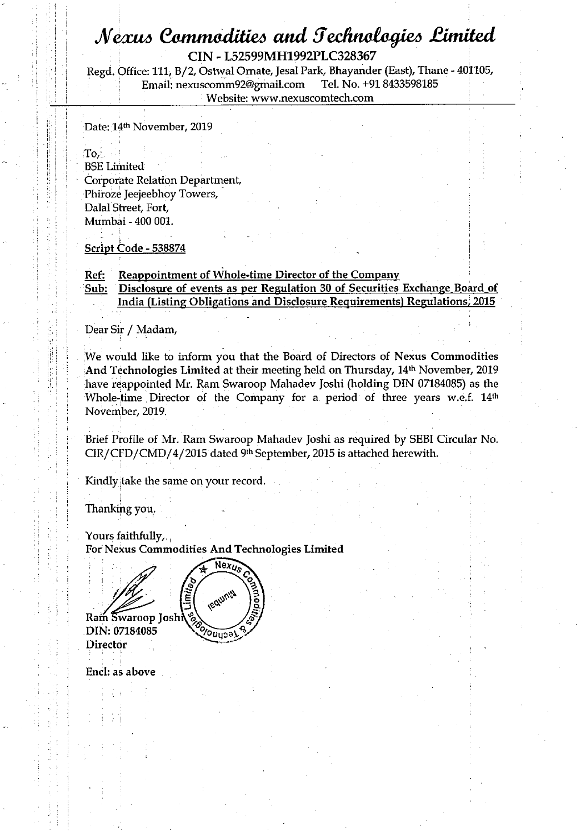## *Af^miA 64mmtodUie6 and JechnaCagi^ £imited*

**! i | CIN - L52599MH1992PLC328367** 

; M **: Regd. Office: 111, B/ 2, Ostwal Ornate, Jesal Park, Bhayander (East), Thane - 401105,**   $E$ mail: nexuscomm92@gmail.com  $Website: [www.nexuscomtech.com](http://www.nexuscomtech.com)$ 

Date: 14<sup>th</sup> November, 2019

is the  $\Gamma$  of  $\Gamma$  of  $\Gamma$  is the  $\Gamma$  -final contract of  $\Gamma$  is the  $\Gamma$  -final contract of  $\Gamma$  is the  $\Gamma$ \ i| **! BSELirhited \ \**  ; ii I **Corporjate Relation Department,**  Phiroze Jeejeebhoy Towers, Dalal Street, Fort, ; I **Mumbai - 400 001.** i

**<u>Script Code - 538874</u>** 

#### Ref: Reappointment of Whole-time Director of the Company

Sub: Disclosure of events as per Regulation 30 of Securities Exchange Board of **India (Listing Obligations and Disclosure Requirements) Regulations/ 2015** 

i **Dear Sir / Madam,** 

We would like to inform you that the Board of Directors of Nexus Commodities And Technologies Limited at their meeting held on Thursday, 14<sup>th</sup> November, 2019 have reappointed Mr. Ram Swaroop Mahadev Joshi (holding DIN 07184085) as the Whole-time Director of the Company for a period of three years w.e.f. 14<sup>th</sup> M I **November, 2019.** 

**! Brief Profile of Mr. Ram Swaroop Mahadev Joshi as required by SEBI Circular No.**  CIR/CFD/CMD/4/2015 dated <sup>9th</sup> September, 2015 is attached herewith.

**Kindly jtake the same on your record.** 

Thanking you.

Yours faithfully, **For Nexus Commodities And Technologies Limited** 

Ram Swaroop Josh DIN: 07184085 **Director** 



**End: as above**